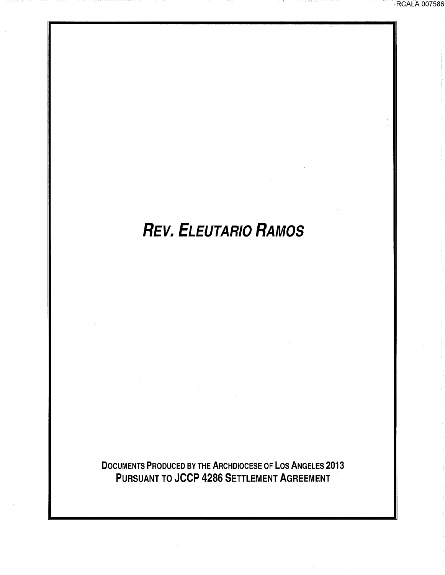# **REV. ELEUTAR/0 RAMOS**

DOCUMENTS PRODUCED BY THE ARCHDIOCESE OF LOS ANGELES 2013 PURSUANT TO JCCP 4286 SETTLEMENT AGREEMENT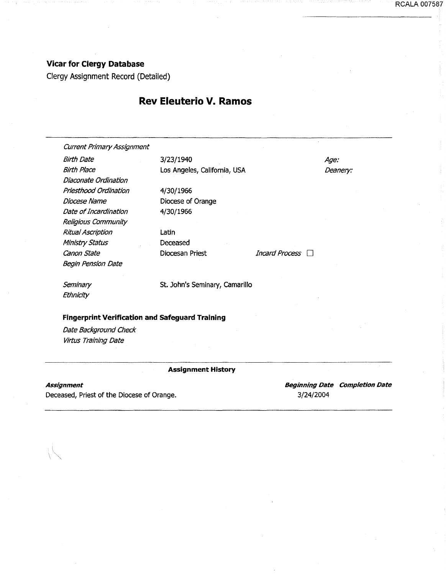#### RCALA 007587

#### **Vicar for Clergy Database**

Clergy Assignment Record (Detailed)

## **Rev Eleuterio V. Ramos**

Current Primary Assignment Birth Date 3/23/1940 Birth Place **Los Angeles, California, USA** Dlaconate Ordination Priesthood Ordination Diocese Name Date of Incardination Religious Community Ritual Ascription Ministry Status Canon State Begin Pension Date **Seminary Ethnicity** 4/30/1966 Diocese of Orange 4/30/1966 Latin Deceased Diocesan Priest St. John's Seminary, Camarillo **Fingerprint Verification and Safeguard Training**  Date Background Check **Virtus Training Date** Age: Deanery: Incard Process  $\Box$ --··-·---------·-------------------------- **Assignment History** 

#### **Assignment**

Deceased, Priest of the Diocese of Orange.

**Beginning Date Completion Date**  3/24/2004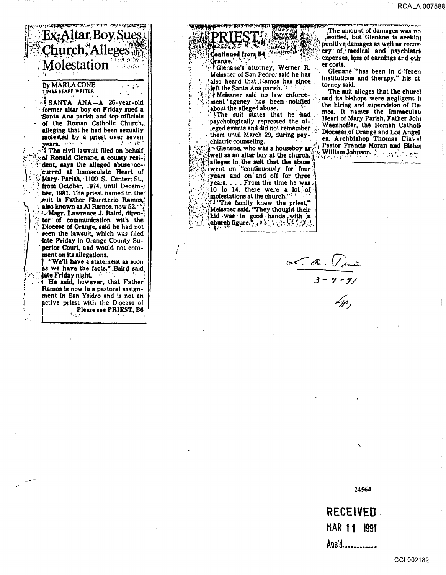RCALA 007588



## TIMES STAFF WRITER

SANTA ANA-A 26-year-old former altar boy on Friday sued a Santa Ana parish and top officials of the Roman Catholic Church, alleging that he had been sexually molested by a priest over seven<br>vears. years.

<sup>74</sup> The civil lawsuit filed on behalf. of Ronald Glenane, a county resident, says the alleged abuse occurred at Immaculate Heart of Mary Parish. 1100 S. Center: St., from October, 1974, until December, 1981. The priest named in the suit is Father Eluceterio Ramos. also known as Al Ramos, now 52. Msgr. Lawrence J. Baird, director of communication with the Diocese of Orange, said he had not seen the lawsuit, which was filed late Friday in Orange County Superior Court, and would not comment on its allegations.

. "We'll have a statement as soon as we have the facts." Baird said late Friday night.

<sup>1</sup> He said, however, that Father Ramos is now in a pastoral assignment in San Ysidro and is not an active priest with the Diocese of Please see PRIEST, B6

Continued from B4 Orange.'

Glenane's attorney, Werner R. Meissner of San Pedro, said he has also heard that Ramos has since left the Santa Ana parish. 18 mi

A Meissner said no law enforcement agency has been notified about the alleged abuse.

The suit states that he had psychologically repressed the alleged events and did not remember them until March 29, during psychiatric counseling.

 $\sqrt{ }$  Gienane, who was a houseboy as  $\epsilon$ well as an altar boy at the church. alleges in the suit that the abuse<br>went on "continuously for four years and on and off for three years.... From the time he was  $\frac{10}{10}$  to 14. there were a lot of "I "The family knew the priest,"<br>Meissner said. "They thought their kid was in good hands with a

The amount of damages was no pecified, but Glenane is seeking punitive damages as well as recovery of medical and psychiatric expenses, loss of earnings and other costs.

Glenane "has been in differen institutions and therapy," his attorney said.

The suit alleges that the churcl and its bishops were negligent in the hiring and supervision of Ramos. It names the Immaculate Heart of Mary Parish, Father John Weenhoffer, the Roman Catholic Dioceses of Orange and Los Angel<br>es. Archbishop Thomas Clavel Pastor Francis Moran and Bishop William Johnson.  $\mathbb{R} \times \mathbb{R}^{n}$ 

 $\frac{1}{3-9-9}$ 

24564

**RECEIVED** 

MAR 11 1991

Ans'd.............